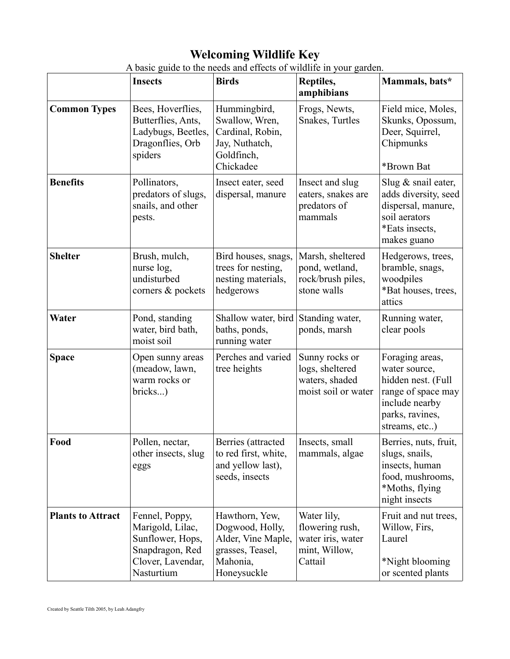# **Welcoming Wildlife Key**

|                          | <b>Insects</b>                                                                                               | <b>Birds</b>                                                                                           | Reptiles,<br>amphibians                                                         | Mammals, bats*                                                                                                                     |
|--------------------------|--------------------------------------------------------------------------------------------------------------|--------------------------------------------------------------------------------------------------------|---------------------------------------------------------------------------------|------------------------------------------------------------------------------------------------------------------------------------|
| <b>Common Types</b>      | Bees, Hoverflies,<br>Butterflies, Ants,<br>Ladybugs, Beetles,<br>Dragonflies, Orb<br>spiders                 | Hummingbird,<br>Swallow, Wren,<br>Cardinal, Robin,<br>Jay, Nuthatch,<br>Goldfinch,<br>Chickadee        | Frogs, Newts,<br>Snakes, Turtles                                                | Field mice, Moles,<br>Skunks, Opossum,<br>Deer, Squirrel,<br>Chipmunks<br>*Brown Bat                                               |
| <b>Benefits</b>          | Pollinators,<br>predators of slugs,<br>snails, and other<br>pests.                                           | Insect eater, seed<br>dispersal, manure                                                                | Insect and slug<br>eaters, snakes are<br>predators of<br>mammals                | Slug & snail eater,<br>adds diversity, seed<br>dispersal, manure,<br>soil aerators<br>*Eats insects,<br>makes guano                |
| <b>Shelter</b>           | Brush, mulch,<br>nurse log,<br>undisturbed<br>corners & pockets                                              | Bird houses, snags,<br>trees for nesting,<br>nesting materials,<br>hedgerows                           | Marsh, sheltered<br>pond, wetland,<br>rock/brush piles,<br>stone walls          | Hedgerows, trees,<br>bramble, snags,<br>woodpiles<br>*Bat houses, trees,<br>attics                                                 |
| Water                    | Pond, standing<br>water, bird bath,<br>moist soil                                                            | Shallow water, bird<br>baths, ponds,<br>running water                                                  | Standing water,<br>ponds, marsh                                                 | Running water,<br>clear pools                                                                                                      |
| <b>Space</b>             | Open sunny areas<br>(meadow, lawn,<br>warm rocks or<br>bricks)                                               | Perches and varied<br>tree heights                                                                     | Sunny rocks or<br>logs, sheltered<br>waters, shaded<br>moist soil or water      | Foraging areas,<br>water source,<br>hidden nest. (Full<br>range of space may<br>include nearby<br>parks, ravines,<br>streams, etc) |
| Food                     | Pollen, nectar,<br>other insects, slug<br>eggs                                                               | Berries (attracted<br>to red first, white,<br>and yellow last),<br>seeds, insects                      | Insects, small<br>mammals, algae                                                | Berries, nuts, fruit,<br>slugs, snails,<br>insects, human<br>food, mushrooms,<br>*Moths, flying<br>night insects                   |
| <b>Plants to Attract</b> | Fennel, Poppy,<br>Marigold, Lilac,<br>Sunflower, Hops,<br>Snapdragon, Red<br>Clover, Lavendar,<br>Nasturtium | Hawthorn, Yew,<br>Dogwood, Holly,<br>Alder, Vine Maple,<br>grasses, Teasel,<br>Mahonia,<br>Honeysuckle | Water lily,<br>flowering rush,<br>water iris, water<br>mint, Willow,<br>Cattail | Fruit and nut trees,<br>Willow, Firs,<br>Laurel<br>*Night blooming<br>or scented plants                                            |

A basic guide to the needs and effects of wildlife in your garden.